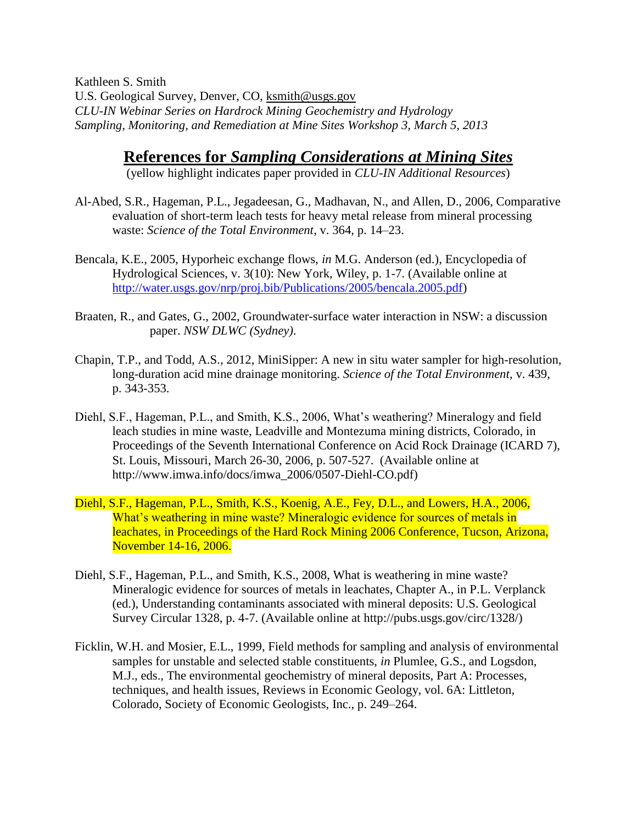Kathleen S. Smith U.S. Geological Survey, Denver, CO, [ksmith@usgs.gov](mailto:ksmith@usgs.gov) *CLU-IN Webinar Series on Hardrock Mining Geochemistry and Hydrology Sampling, Monitoring, and Remediation at Mine Sites Workshop 3, March 5, 2013*

**References for** *Sampling Considerations at Mining Sites*

(yellow highlight indicates paper provided in *CLU-IN Additional Resources*)

- Al-Abed, S.R., Hageman, P.L., Jegadeesan, G., Madhavan, N., and Allen, D., 2006, Comparative evaluation of short-term leach tests for heavy metal release from mineral processing waste: *Science of the Total Environment*, v. 364, p. 14–23.
- Bencala, K.E., 2005, Hyporheic exchange flows, *in* M.G. Anderson (ed.), Encyclopedia of Hydrological Sciences, v. 3(10): New York, Wiley, p. 1-7. (Available online at [http://water.usgs.gov/nrp/proj.bib/Publications/2005/bencala.2005.pdf\)](http://water.usgs.gov/nrp/proj.bib/Publications/2005/bencala.2005.pdf)
- Braaten, R., and Gates, G., 2002, Groundwater-surface water interaction in NSW: a discussion paper. *NSW DLWC (Sydney)*.
- Chapin, T.P., and Todd, A.S., 2012, MiniSipper: A new in situ water sampler for high-resolution, long-duration acid mine drainage monitoring. *Science of the Total Environment*, v. 439, p. 343-353.
- Diehl, S.F., Hageman, P.L., and Smith, K.S., 2006, What's weathering? Mineralogy and field leach studies in mine waste, Leadville and Montezuma mining districts, Colorado, in Proceedings of the Seventh International Conference on Acid Rock Drainage (ICARD 7), St. Louis, Missouri, March 26-30, 2006, p. 507-527. (Available online at [http://www.imwa.info/docs/imwa\\_2006/0507-Diehl-CO.pdf\)](http://www.imwa.info/docs/imwa_2006/0507-Diehl-CO.pdf)
- Diehl, S.F., Hageman, P.L., Smith, K.S., Koenig, A.E., Fey, D.L., and Lowers, H.A., 2006, What's weathering in mine waste? Mineralogic evidence for sources of metals in leachates, in Proceedings of the Hard Rock Mining 2006 Conference, Tucson, Arizona, November 14-16, 2006.
- Diehl, S.F., Hageman, P.L., and Smith, K.S., 2008, What is weathering in mine waste? Mineralogic evidence for sources of metals in leachates, Chapter A., in P.L. Verplanck (ed.), Understanding contaminants associated with mineral deposits: U.S. Geological Survey Circular 1328, p. 4-7. (Available online at [http://pubs.usgs.gov/circ/1328/\)](http://pubs.usgs.gov/circ/1328/)
- Ficklin, W.H. and Mosier, E.L., 1999, Field methods for sampling and analysis of environmental samples for unstable and selected stable constituents, *in* Plumlee, G.S., and Logsdon, M.J., eds., The environmental geochemistry of mineral deposits, Part A: Processes, techniques, and health issues, Reviews in Economic Geology, vol. 6A: Littleton, Colorado, Society of Economic Geologists, Inc., p. 249–264.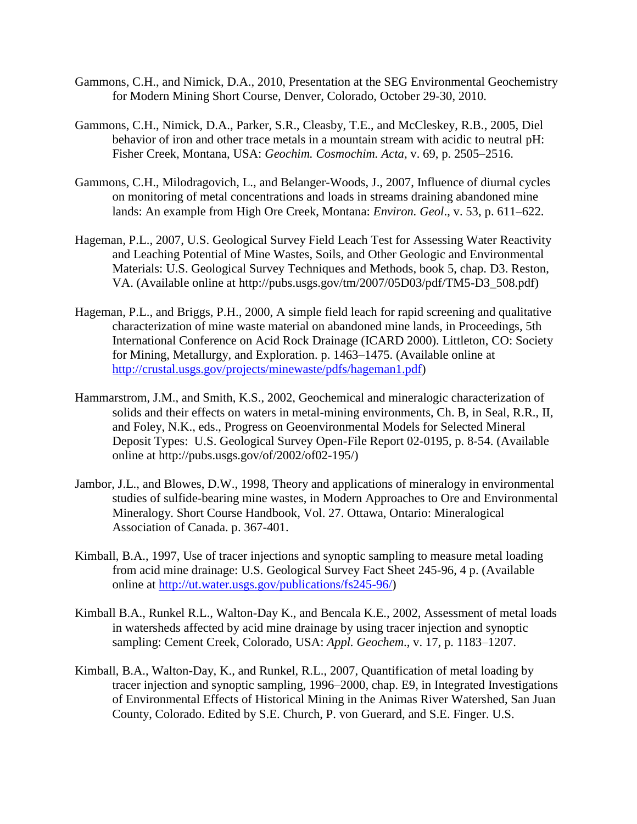- Gammons, C.H., and Nimick, D.A., 2010, Presentation at the SEG Environmental Geochemistry for Modern Mining Short Course, Denver, Colorado, October 29-30, 2010.
- Gammons, C.H., Nimick, D.A., Parker, S.R., Cleasby, T.E., and McCleskey, R.B., 2005, Diel behavior of iron and other trace metals in a mountain stream with acidic to neutral pH: Fisher Creek, Montana, USA: *Geochim. Cosmochim. Acta,* v. 69, p. 2505–2516.
- Gammons, C.H., Milodragovich, L., and Belanger-Woods, J., 2007, Influence of diurnal cycles on monitoring of metal concentrations and loads in streams draining abandoned mine lands: An example from High Ore Creek, Montana: *Environ. Geol*., v. 53, p. 611–622.
- Hageman, P.L., 2007, U.S. Geological Survey Field Leach Test for Assessing Water Reactivity and Leaching Potential of Mine Wastes, Soils, and Other Geologic and Environmental Materials: U.S. Geological Survey Techniques and Methods, book 5, chap. D3. Reston, VA. (Available online at [http://pubs.usgs.gov/tm/2007/05D03/pdf/TM5-D3\\_508.pdf\)](http://pubs.usgs.gov/tm/2007/05D03/pdf/TM5-D3_508.pdf)
- Hageman, P.L., and Briggs, P.H., 2000, A simple field leach for rapid screening and qualitative characterization of mine waste material on abandoned mine lands, in Proceedings, 5th International Conference on Acid Rock Drainage (ICARD 2000). Littleton, CO: Society for Mining, Metallurgy, and Exploration. p. 1463–1475. (Available online at [http://crustal.usgs.gov/projects/minewaste/pdfs/hageman1.pdf\)](http://crustal.usgs.gov/projects/minewaste/pdfs/hageman1.pdf)
- Hammarstrom, J.M., and Smith, K.S., 2002, Geochemical and mineralogic characterization of solids and their effects on waters in metal-mining environments, Ch. B, in Seal, R.R., II, and Foley, N.K., eds., Progress on Geoenvironmental Models for Selected Mineral Deposit Types: U.S. Geological Survey Open-File Report 02-0195, p. 8-54. (Available online at [http://pubs.usgs.gov/of/2002/of02-195/\)](http://pubs.usgs.gov/of/2002/of02-195/)
- Jambor, J.L., and Blowes, D.W., 1998, Theory and applications of mineralogy in environmental studies of sulfide-bearing mine wastes, in Modern Approaches to Ore and Environmental Mineralogy. Short Course Handbook, Vol. 27. Ottawa, Ontario: Mineralogical Association of Canada. p. 367-401.
- Kimball, B.A., 1997, Use of tracer injections and synoptic sampling to measure metal loading from acid mine drainage: U.S. Geological Survey Fact Sheet 245-96, 4 p. (Available online at [http://ut.water.usgs.gov/publications/fs245-96/\)](http://ut.water.usgs.gov/publications/fs245-96/)
- Kimball B.A., Runkel R.L., Walton-Day K., and Bencala K.E., 2002, Assessment of metal loads in watersheds affected by acid mine drainage by using tracer injection and synoptic sampling: Cement Creek, Colorado, USA: *Appl. Geochem*., v. 17, p. 1183–1207.
- Kimball, B.A., Walton-Day, K., and Runkel, R.L., 2007, Quantification of metal loading by tracer injection and synoptic sampling, 1996–2000, chap. E9, in Integrated Investigations of Environmental Effects of Historical Mining in the Animas River Watershed, San Juan County, Colorado. Edited by S.E. Church, P. von Guerard, and S.E. Finger. U.S.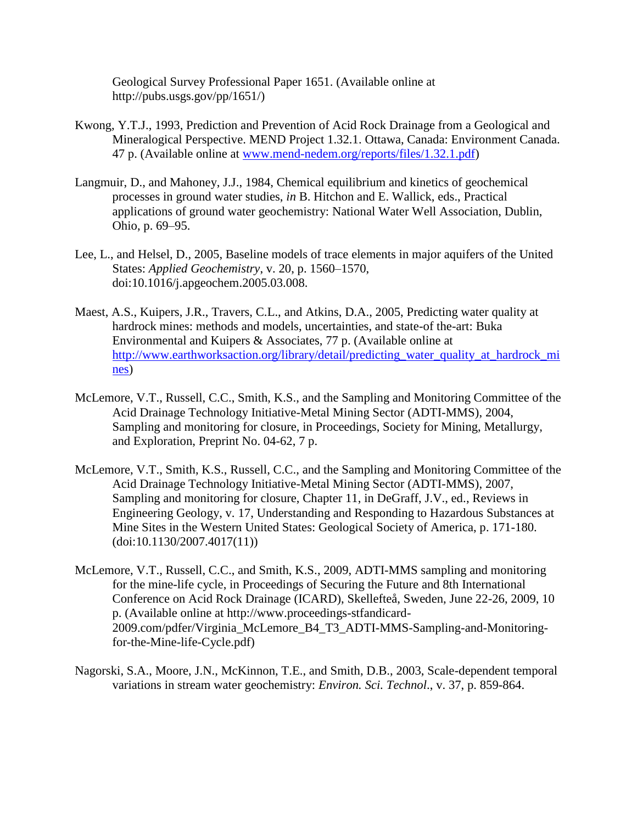Geological Survey Professional Paper 1651. (Available online at [http://pubs.usgs.gov/pp/1651/\)](http://pubs.usgs.gov/pp/1651/)

- Kwong, Y.T.J., 1993, Prediction and Prevention of Acid Rock Drainage from a Geological and Mineralogical Perspective. MEND Project 1.32.1. Ottawa, Canada: Environment Canada. 47 p. (Available online at [www.mend-nedem.org/reports/files/1.32.1.pdf\)](http://www.mend-nedem.org/reports/files/1.32.1.pdf)
- Langmuir, D., and Mahoney, J.J., 1984, Chemical equilibrium and kinetics of geochemical processes in ground water studies, *in* B. Hitchon and E. Wallick, eds., Practical applications of ground water geochemistry: National Water Well Association, Dublin, Ohio, p. 69–95.
- Lee, L., and Helsel, D., 2005, Baseline models of trace elements in major aquifers of the United States: *Applied Geochemistry*, v. 20, p. 1560–1570, doi:10.1016/j.apgeochem.2005.03.008.
- Maest, A.S., Kuipers, J.R., Travers, C.L., and Atkins, D.A., 2005, Predicting water quality at hardrock mines: methods and models, uncertainties, and state-of the-art: Buka Environmental and Kuipers & Associates, 77 p. (Available online at [http://www.earthworksaction.org/library/detail/predicting\\_water\\_quality\\_at\\_hardrock\\_mi](http://www.earthworksaction.org/library/detail/predicting_water_quality_at_hardrock_mines) [nes\)](http://www.earthworksaction.org/library/detail/predicting_water_quality_at_hardrock_mines)
- McLemore, V.T., Russell, C.C., Smith, K.S., and the Sampling and Monitoring Committee of the Acid Drainage Technology Initiative-Metal Mining Sector (ADTI-MMS), 2004, Sampling and monitoring for closure, in Proceedings, Society for Mining, Metallurgy, and Exploration, Preprint No. 04-62, 7 p.
- McLemore, V.T., Smith, K.S., Russell, C.C., and the Sampling and Monitoring Committee of the Acid Drainage Technology Initiative-Metal Mining Sector (ADTI-MMS), 2007, Sampling and monitoring for closure, Chapter 11, in DeGraff, J.V., ed., Reviews in Engineering Geology, v. 17, Understanding and Responding to Hazardous Substances at Mine Sites in the Western United States: Geological Society of America, p. 171-180. (doi:10.1130/2007.4017(11))
- McLemore, V.T., Russell, C.C., and Smith, K.S., 2009, ADTI-MMS sampling and monitoring for the mine-life cycle, in Proceedings of Securing the Future and 8th International Conference on Acid Rock Drainage (ICARD), Skellefteå, Sweden, June 22-26, 2009, 10 p. (Available online at [http://www.proceedings-stfandicard-](http://www.proceedings-stfandicard-2009.com/pdfer/Virginia_McLemore_B4_T3_ADTI-MMS-Sampling-and-Monitoring-for-the-Mine-life-Cycle.pdf)[2009.com/pdfer/Virginia\\_McLemore\\_B4\\_T3\\_ADTI-MMS-Sampling-and-Monitoring](http://www.proceedings-stfandicard-2009.com/pdfer/Virginia_McLemore_B4_T3_ADTI-MMS-Sampling-and-Monitoring-for-the-Mine-life-Cycle.pdf)[for-the-Mine-life-Cycle.pdf\)](http://www.proceedings-stfandicard-2009.com/pdfer/Virginia_McLemore_B4_T3_ADTI-MMS-Sampling-and-Monitoring-for-the-Mine-life-Cycle.pdf)
- Nagorski, S.A., Moore, J.N., McKinnon, T.E., and Smith, D.B., 2003, Scale-dependent temporal variations in stream water geochemistry: *Environ. Sci. Technol*., v. 37, p. 859-864.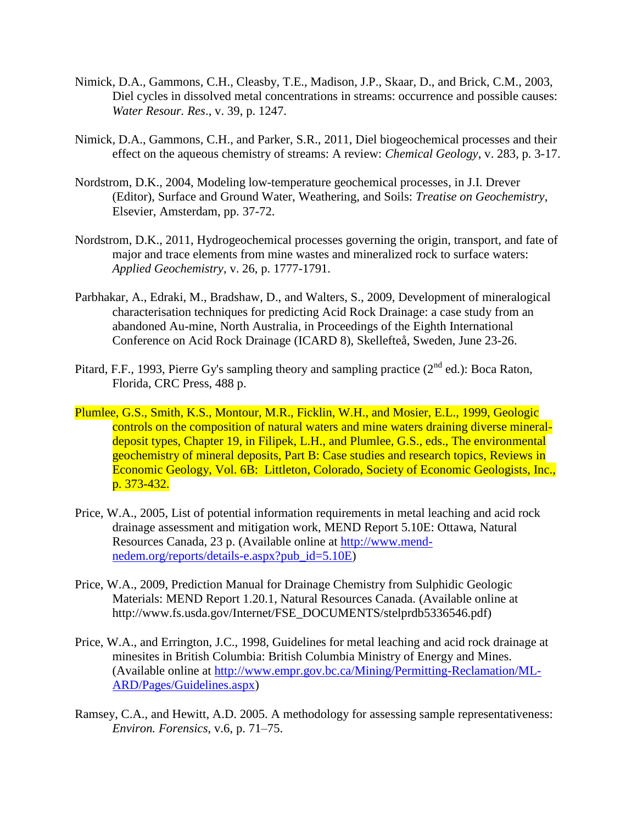- Nimick, D.A., Gammons, C.H., Cleasby, T.E., Madison, J.P., Skaar, D., and Brick, C.M., 2003, Diel cycles in dissolved metal concentrations in streams: occurrence and possible causes: *Water Resour. Res*., v. 39, p. 1247.
- Nimick, D.A., Gammons, C.H., and Parker, S.R., 2011, Diel biogeochemical processes and their effect on the aqueous chemistry of streams: A review: *Chemical Geology*, v. 283, p. 3-17.
- Nordstrom, D.K., 2004, Modeling low-temperature geochemical processes, in J.I. Drever (Editor), Surface and Ground Water, Weathering, and Soils: *Treatise on Geochemistry*, Elsevier, Amsterdam, pp. 37-72.
- Nordstrom, D.K., 2011, Hydrogeochemical processes governing the origin, transport, and fate of major and trace elements from mine wastes and mineralized rock to surface waters: *Applied Geochemistry*, v. 26, p. 1777-1791.
- Parbhakar, A., Edraki, M., Bradshaw, D., and Walters, S., 2009, Development of mineralogical characterisation techniques for predicting Acid Rock Drainage: a case study from an abandoned Au-mine, North Australia, in Proceedings of the Eighth International Conference on Acid Rock Drainage (ICARD 8), Skellefteå, Sweden, June 23-26.
- Pitard, F.F., 1993, Pierre Gy's sampling theory and sampling practice  $(2^{nd}$  ed.): Boca Raton, Florida, CRC Press, 488 p.
- Plumlee, G.S., Smith, K.S., Montour, M.R., Ficklin, W.H., and Mosier, E.L., 1999, Geologic controls on the composition of natural waters and mine waters draining diverse mineraldeposit types, Chapter 19, in Filipek, L.H., and Plumlee, G.S., eds., The environmental geochemistry of mineral deposits, Part B: Case studies and research topics, Reviews in Economic Geology, Vol. 6B: Littleton, Colorado, Society of Economic Geologists, Inc., p. 373-432.
- Price, W.A., 2005, List of potential information requirements in metal leaching and acid rock drainage assessment and mitigation work, MEND Report 5.10E: Ottawa, Natural Resources Canada, 23 p. (Available online at [http://www.mend](http://www.mend-nedem.org/reports/details-e.aspx?pub_id=5.10E)[nedem.org/reports/details-e.aspx?pub\\_id=5.10E\)](http://www.mend-nedem.org/reports/details-e.aspx?pub_id=5.10E)
- Price, W.A., 2009, Prediction Manual for Drainage Chemistry from Sulphidic Geologic Materials: MEND Report 1.20.1, Natural Resources Canada. (Available online at [http://www.fs.usda.gov/Internet/FSE\\_DOCUMENTS/stelprdb5336546.pdf\)](http://www.fs.usda.gov/Internet/FSE_DOCUMENTS/stelprdb5336546.pdf)
- Price, W.A., and Errington, J.C., 1998, Guidelines for metal leaching and acid rock drainage at minesites in British Columbia: British Columbia Ministry of Energy and Mines. (Available online at [http://www.empr.gov.bc.ca/Mining/Permitting-Reclamation/ML-](http://www.empr.gov.bc.ca/Mining/Permitting-Reclamation/ML-ARD/Pages/Guidelines.aspx)[ARD/Pages/Guidelines.aspx\)](http://www.empr.gov.bc.ca/Mining/Permitting-Reclamation/ML-ARD/Pages/Guidelines.aspx)
- Ramsey, C.A., and Hewitt, A.D. 2005. A methodology for assessing sample representativeness: *Environ. Forensics*, v.6, p. 71–75.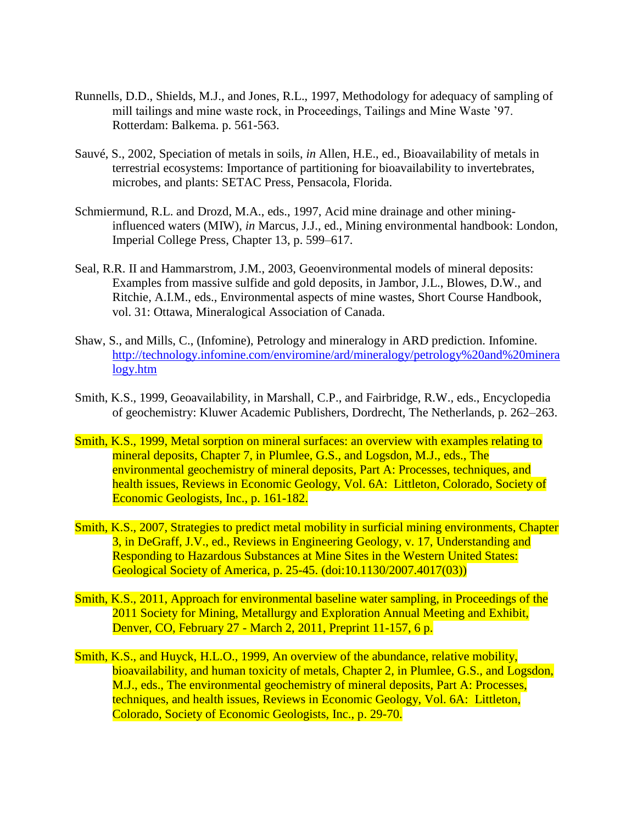- Runnells, D.D., Shields, M.J., and Jones, R.L., 1997, Methodology for adequacy of sampling of mill tailings and mine waste rock, in Proceedings, Tailings and Mine Waste '97. Rotterdam: Balkema. p. 561-563.
- Sauvé, S., 2002, Speciation of metals in soils, *in* Allen, H.E., ed., Bioavailability of metals in terrestrial ecosystems: Importance of partitioning for bioavailability to invertebrates, microbes, and plants: SETAC Press, Pensacola, Florida.
- Schmiermund, R.L. and Drozd, M.A., eds., 1997, Acid mine drainage and other mininginfluenced waters (MIW), *in* Marcus, J.J., ed., Mining environmental handbook: London, Imperial College Press, Chapter 13, p. 599–617.
- Seal, R.R. II and Hammarstrom, J.M., 2003, Geoenvironmental models of mineral deposits: Examples from massive sulfide and gold deposits, in Jambor, J.L., Blowes, D.W., and Ritchie, A.I.M., eds., Environmental aspects of mine wastes, Short Course Handbook, vol. 31: Ottawa, Mineralogical Association of Canada.
- Shaw, S., and Mills, C., (Infomine), Petrology and mineralogy in ARD prediction. Infomine. [http://technology.infomine.com/enviromine/ard/mineralogy/petrology%20and%20minera](http://technology.infomine.com/enviromine/ard/mineralogy/petrology%20and%20mineralogy.htm) [logy.htm](http://technology.infomine.com/enviromine/ard/mineralogy/petrology%20and%20mineralogy.htm)
- Smith, K.S., 1999, Geoavailability, in Marshall, C.P., and Fairbridge, R.W., eds., Encyclopedia of geochemistry: Kluwer Academic Publishers, Dordrecht, The Netherlands, p. 262–263.
- Smith, K.S., 1999, Metal sorption on mineral surfaces: an overview with examples relating to mineral deposits, Chapter 7, in Plumlee, G.S., and Logsdon, M.J., eds., The environmental geochemistry of mineral deposits, Part A: Processes, techniques, and health issues, Reviews in Economic Geology, Vol. 6A: Littleton, Colorado, Society of Economic Geologists, Inc., p. 161-182.
- Smith, K.S., 2007, Strategies to predict metal mobility in surficial mining environments, Chapter 3, in DeGraff, J.V., ed., Reviews in Engineering Geology, v. 17, Understanding and Responding to Hazardous Substances at Mine Sites in the Western United States: Geological Society of America, p. 25-45. (doi:10.1130/2007.4017(03))
- Smith, K.S., 2011, Approach for environmental baseline water sampling, in Proceedings of the 2011 Society for Mining, Metallurgy and Exploration Annual Meeting and Exhibit, Denver, CO, February 27 - March 2, 2011, Preprint 11-157, 6 p.
- Smith, K.S., and Huyck, H.L.O., 1999, An overview of the abundance, relative mobility, bioavailability, and human toxicity of metals, Chapter 2, in Plumlee, G.S., and Logsdon, M.J., eds., The environmental geochemistry of mineral deposits, Part A: Processes, techniques, and health issues, Reviews in Economic Geology, Vol. 6A: Littleton, Colorado, Society of Economic Geologists, Inc., p. 29-70.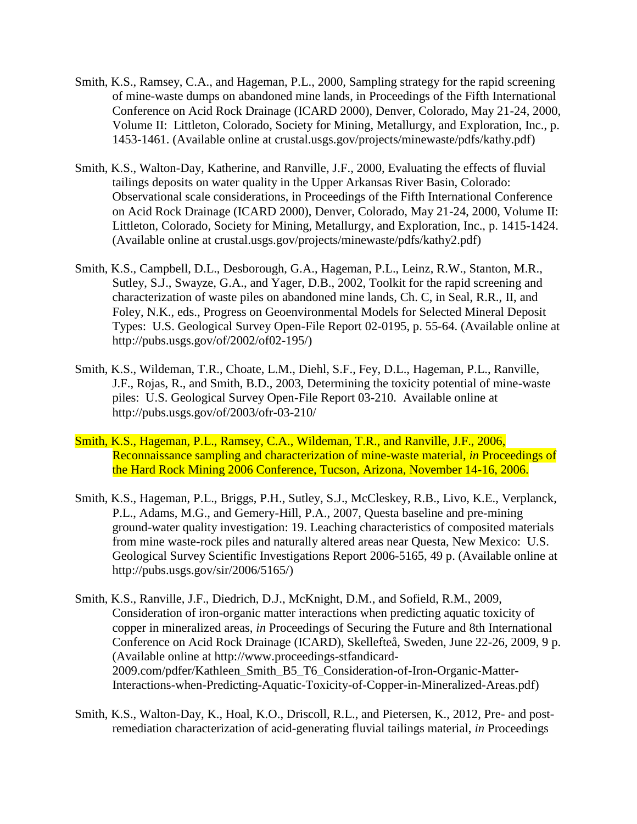- Smith, K.S., Ramsey, C.A., and Hageman, P.L., 2000, Sampling strategy for the rapid screening of mine-waste dumps on abandoned mine lands, in Proceedings of the Fifth International Conference on Acid Rock Drainage (ICARD 2000), Denver, Colorado, May 21-24, 2000, Volume II: Littleton, Colorado, Society for Mining, Metallurgy, and Exploration, Inc., p. 1453-1461. (Available online at crustal.usgs.gov/projects/minewaste/pdfs/kathy.pdf)
- Smith, K.S., Walton-Day, Katherine, and Ranville, J.F., 2000, Evaluating the effects of fluvial tailings deposits on water quality in the Upper Arkansas River Basin, Colorado: Observational scale considerations, in Proceedings of the Fifth International Conference on Acid Rock Drainage (ICARD 2000), Denver, Colorado, May 21-24, 2000, Volume II: Littleton, Colorado, Society for Mining, Metallurgy, and Exploration, Inc., p. 1415-1424. (Available online at crustal.usgs.gov/projects/minewaste/pdfs/kathy2.pdf)
- Smith, K.S., Campbell, D.L., Desborough, G.A., Hageman, P.L., Leinz, R.W., Stanton, M.R., Sutley, S.J., Swayze, G.A., and Yager, D.B., 2002, Toolkit for the rapid screening and characterization of waste piles on abandoned mine lands, Ch. C, in Seal, R.R., II, and Foley, N.K., eds., Progress on Geoenvironmental Models for Selected Mineral Deposit Types: U.S. Geological Survey Open-File Report 02-0195, p. 55-64. (Available online at [http://pubs.usgs.gov/of/2002/of02-195/\)](http://pubs.usgs.gov/of/2002/of02-195/)
- Smith, K.S., Wildeman, T.R., Choate, L.M., Diehl, S.F., Fey, D.L., Hageman, P.L., Ranville, J.F., Rojas, R., and Smith, B.D., 2003, Determining the toxicity potential of mine-waste piles: U.S. Geological Survey Open-File Report 03-210. Available online at <http://pubs.usgs.gov/of/2003/ofr-03-210/>
- Smith, K.S., Hageman, P.L., Ramsey, C.A., Wildeman, T.R., and Ranville, J.F., 2006, Reconnaissance sampling and characterization of mine-waste material, *in* Proceedings of the Hard Rock Mining 2006 Conference, Tucson, Arizona, November 14-16, 2006.
- Smith, K.S., Hageman, P.L., Briggs, P.H., Sutley, S.J., McCleskey, R.B., Livo, K.E., Verplanck, P.L., Adams, M.G., and Gemery-Hill, P.A., 2007, Questa baseline and pre-mining ground-water quality investigation: 19. Leaching characteristics of composited materials from mine waste-rock piles and naturally altered areas near Questa, New Mexico: U.S. Geological Survey Scientific Investigations Report 2006-5165, 49 p. (Available online at [http://pubs.usgs.gov/sir/2006/5165/\)](http://pubs.usgs.gov/sir/2006/5165/)
- Smith, K.S., Ranville, J.F., Diedrich, D.J., McKnight, D.M., and Sofield, R.M., 2009, Consideration of iron-organic matter interactions when predicting aquatic toxicity of copper in mineralized areas, *in* Proceedings of Securing the Future and 8th International Conference on Acid Rock Drainage (ICARD), Skellefteå, Sweden, June 22-26, 2009, 9 p. (Available online at [http://www.proceedings-stfandicard-](http://www.proceedings-stfandicard-2009.com/pdfer/Kathleen_Smith_B5_T6_Consideration-of-Iron-Organic-Matter-Interactions-when-Predicting-Aquatic-Toxicity-of-Copper-in-Mineralized-Areas.pdf)[2009.com/pdfer/Kathleen\\_Smith\\_B5\\_T6\\_Consideration-of-Iron-Organic-Matter-](http://www.proceedings-stfandicard-2009.com/pdfer/Kathleen_Smith_B5_T6_Consideration-of-Iron-Organic-Matter-Interactions-when-Predicting-Aquatic-Toxicity-of-Copper-in-Mineralized-Areas.pdf)[Interactions-when-Predicting-Aquatic-Toxicity-of-Copper-in-Mineralized-Areas.pdf\)](http://www.proceedings-stfandicard-2009.com/pdfer/Kathleen_Smith_B5_T6_Consideration-of-Iron-Organic-Matter-Interactions-when-Predicting-Aquatic-Toxicity-of-Copper-in-Mineralized-Areas.pdf)
- Smith, K.S., Walton-Day, K., Hoal, K.O., Driscoll, R.L., and Pietersen, K., 2012, Pre- and postremediation characterization of acid-generating fluvial tailings material, *in* Proceedings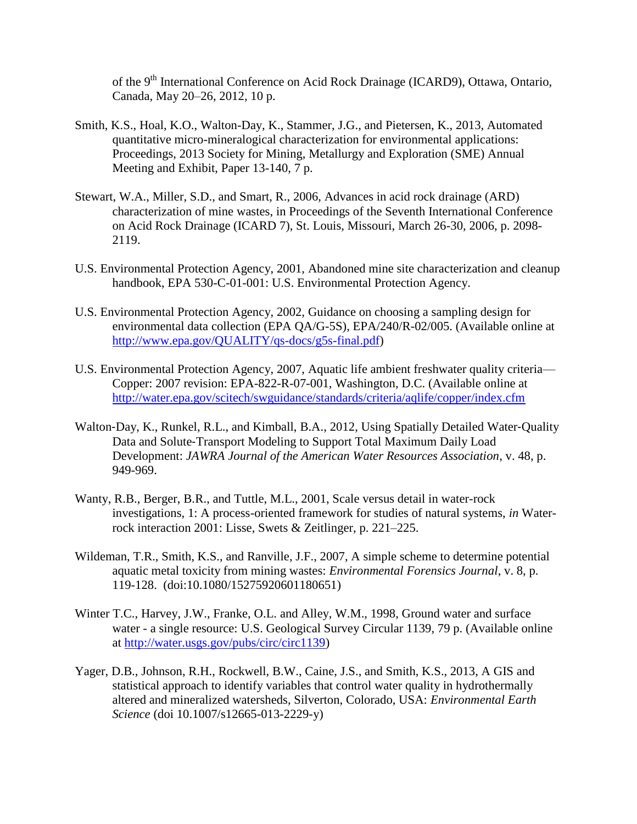of the 9<sup>th</sup> International Conference on Acid Rock Drainage (ICARD9), Ottawa, Ontario, Canada, May 20–26, 2012, 10 p.

- Smith, K.S., Hoal, K.O., Walton-Day, K., Stammer, J.G., and Pietersen, K., 2013, Automated quantitative micro-mineralogical characterization for environmental applications: Proceedings, 2013 Society for Mining, Metallurgy and Exploration (SME) Annual Meeting and Exhibit, Paper 13-140, 7 p.
- Stewart, W.A., Miller, S.D., and Smart, R., 2006, Advances in acid rock drainage (ARD) characterization of mine wastes, in Proceedings of the Seventh International Conference on Acid Rock Drainage (ICARD 7), St. Louis, Missouri, March 26-30, 2006, p. 2098- 2119.
- U.S. Environmental Protection Agency, 2001, Abandoned mine site characterization and cleanup handbook, EPA 530-C-01-001: U.S. Environmental Protection Agency.
- U.S. Environmental Protection Agency, 2002, Guidance on choosing a sampling design for environmental data collection (EPA QA/G-5S), EPA/240/R-02/005. (Available online at [http://www.epa.gov/QUALITY/qs-docs/g5s-final.pdf\)](http://www.epa.gov/QUALITY/qs-docs/g5s-final.pdf)
- U.S. Environmental Protection Agency, 2007, Aquatic life ambient freshwater quality criteria— Copper: 2007 revision: EPA-822-R-07-001, Washington, D.C. (Available online at <http://water.epa.gov/scitech/swguidance/standards/criteria/aqlife/copper/index.cfm>
- Walton-Day, K., Runkel, R.L., and Kimball, B.A., 2012, Using Spatially Detailed Water-Quality Data and Solute‐Transport Modeling to Support Total Maximum Daily Load Development: *JAWRA Journal of the American Water Resources Association*, v. 48, p. 949-969.
- Wanty, R.B., Berger, B.R., and Tuttle, M.L., 2001, Scale versus detail in water-rock investigations, 1: A process-oriented framework for studies of natural systems, *in* Waterrock interaction 2001: Lisse, Swets & Zeitlinger, p. 221–225.
- Wildeman, T.R., Smith, K.S., and Ranville, J.F., 2007, A simple scheme to determine potential aquatic metal toxicity from mining wastes: *Environmental Forensics Journal*, v. 8, p. 119-128. (doi:10.1080/15275920601180651)
- Winter T.C., Harvey, J.W., Franke, O.L. and Alley, W.M., 1998, Ground water and surface water - a single resource: U.S. Geological Survey Circular 1139, 79 p. (Available online at [http://water.usgs.gov/pubs/circ/circ1139\)](http://water.usgs.gov/pubs/circ/circ1139)
- Yager, D.B., Johnson, R.H., Rockwell, B.W., Caine, J.S., and Smith, K.S., 2013, A GIS and statistical approach to identify variables that control water quality in hydrothermally altered and mineralized watersheds, Silverton, Colorado, USA: *Environmental Earth Science* (doi 10.1007/s12665-013-2229-y)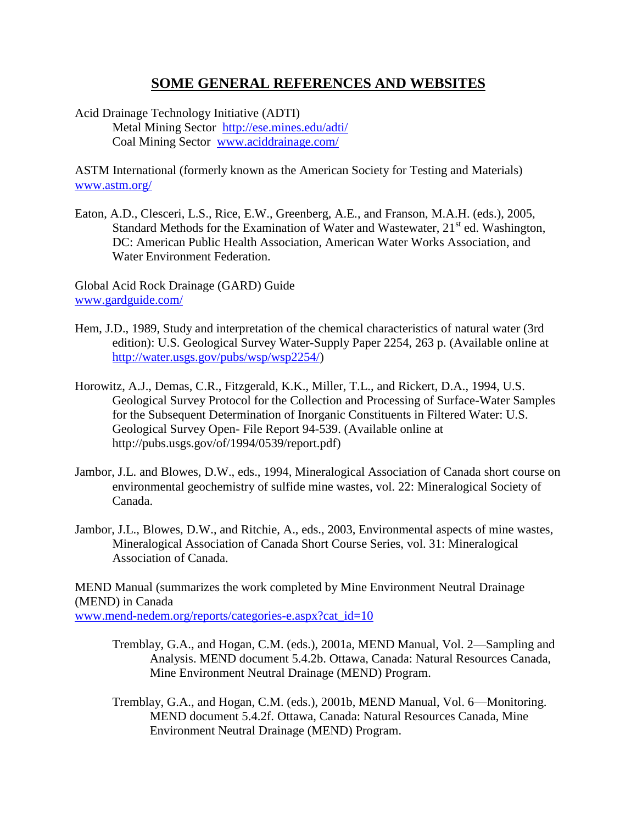## **SOME GENERAL REFERENCES AND WEBSITES**

Acid Drainage Technology Initiative (ADTI) Metal Mining Sector <http://ese.mines.edu/adti/> Coal Mining Sector [www.aciddrainage.com/](http://www.aciddrainage.com/)

ASTM International (formerly known as the American Society for Testing and Materials) [www.astm.org/](http://www.astm.org/)

Eaton, A.D., Clesceri, L.S., Rice, E.W., Greenberg, A.E., and Franson, M.A.H. (eds.), 2005, Standard Methods for the Examination of Water and Wastewater,  $21<sup>st</sup>$  ed. Washington, DC: American Public Health Association, American Water Works Association, and Water Environment Federation.

Global Acid Rock Drainage (GARD) Guide [www.gardguide.com/](http://www.gardguide.com/index.php/Chapter_8)

- Hem, J.D., 1989, Study and interpretation of the chemical characteristics of natural water (3rd edition): U.S. Geological Survey Water-Supply Paper 2254, 263 p. (Available online at [http://water.usgs.gov/pubs/wsp/wsp2254/\)](http://water.usgs.gov/pubs/wsp/wsp2254/)
- Horowitz, A.J., Demas, C.R., Fitzgerald, K.K., Miller, T.L., and Rickert, D.A., 1994, U.S. Geological Survey Protocol for the Collection and Processing of Surface-Water Samples for the Subsequent Determination of Inorganic Constituents in Filtered Water: U.S. Geological Survey Open- File Report 94-539. (Available online at [http://pubs.usgs.gov/of/1994/0539/report.pdf\)](http://pubs.usgs.gov/of/1994/0539/report.pdf)
- Jambor, J.L. and Blowes, D.W., eds., 1994, Mineralogical Association of Canada short course on environmental geochemistry of sulfide mine wastes, vol. 22: Mineralogical Society of Canada.
- Jambor, J.L., Blowes, D.W., and Ritchie, A., eds., 2003, Environmental aspects of mine wastes, Mineralogical Association of Canada Short Course Series, vol. 31: Mineralogical Association of Canada.

MEND Manual (summarizes the work completed by Mine Environment Neutral Drainage (MEND) in Canada [www.mend-nedem.org/reports/categories-e.aspx?cat\\_id=10](http://www.mend-nedem.org/reports/categories-e.aspx?cat_id=10)

- Tremblay, G.A., and Hogan, C.M. (eds.), 2001a, MEND Manual, Vol. 2—Sampling and Analysis. MEND document 5.4.2b. Ottawa, Canada: Natural Resources Canada, Mine Environment Neutral Drainage (MEND) Program.
- Tremblay, G.A., and Hogan, C.M. (eds.), 2001b, MEND Manual, Vol. 6—Monitoring. MEND document 5.4.2f. Ottawa, Canada: Natural Resources Canada, Mine Environment Neutral Drainage (MEND) Program.